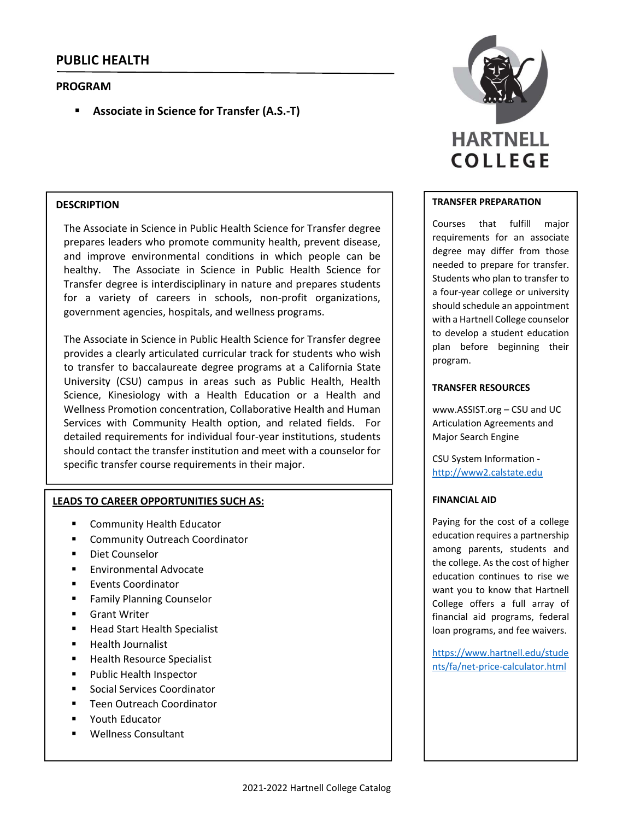## **PROGRAM**

**Associate in Science for Transfer (A.S.‐T)**

## **DESCRIPTION**

The Associate in Science in Public Health Science for Transfer degree prepares leaders who promote community health, prevent disease, and improve environmental conditions in which people can be healthy. The Associate in Science in Public Health Science for Transfer degree is interdisciplinary in nature and prepares students for a variety of careers in schools, non-profit organizations, government agencies, hospitals, and wellness programs.

The Associate in Science in Public Health Science for Transfer degree provides a clearly articulated curricular track for students who wish to transfer to baccalaureate degree programs at a California State University (CSU) campus in areas such as Public Health, Health Science, Kinesiology with a Health Education or a Health and Wellness Promotion concentration, Collaborative Health and Human Services with Community Health option, and related fields. For detailed requirements for individual four‐year institutions, students should contact the transfer institution and meet with a counselor for specific transfer course requirements in their major.

#### **LEADS TO CAREER OPPORTUNITIES SUCH AS:**

- **EXECOMMUNITY Health Educator**
- Community Outreach Coordinator
- Diet Counselor
- Environmental Advocate
- **Events Coordinator**
- Family Planning Counselor
- **Grant Writer**
- Head Start Health Specialist
- **Health Journalist**
- Health Resource Specialist
- **Public Health Inspector**
- Social Services Coordinator
- **Teen Outreach Coordinator**
- Youth Educator
- Wellness Consultant



#### **TRANSFER PREPARATION**

Courses that fulfill major requirements for an associate degree may differ from those needed to prepare for transfer. Students who plan to transfer to a four‐year college or university should schedule an appointment with a Hartnell College counselor to develop a student education plan before beginning their program.

#### **TRANSFER RESOURCES**

www.ASSIST.org – CSU and UC Articulation Agreements and Major Search Engine

CSU System Information ‐ http://www2.calstate.edu

#### **FINANCIAL AID**

Paying for the cost of a college education requires a partnership among parents, students and the college. As the cost of higher education continues to rise we want you to know that Hartnell College offers a full array of financial aid programs, federal loan programs, and fee waivers.

https://www.hartnell.edu/stude nts/fa/net‐price‐calculator.html